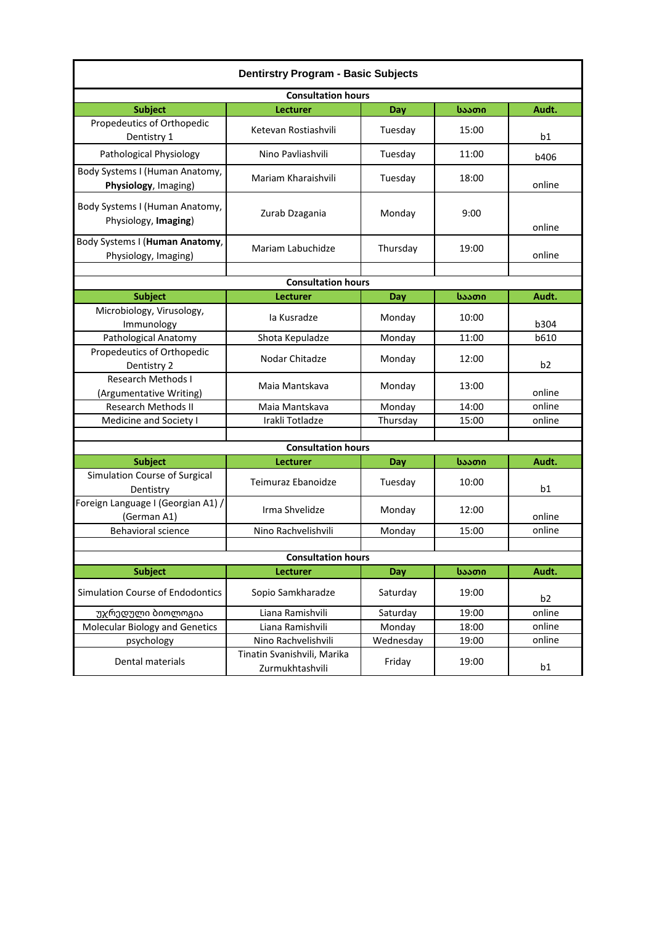| <b>Dentirstry Program - Basic Subjects</b>             |                                                |           |       |                |  |  |  |
|--------------------------------------------------------|------------------------------------------------|-----------|-------|----------------|--|--|--|
| <b>Consultation hours</b>                              |                                                |           |       |                |  |  |  |
| <b>Subject</b>                                         | Lecturer                                       | Day       | საათი | Audt.          |  |  |  |
| Propedeutics of Orthopedic<br>Dentistry 1              | Ketevan Rostiashvili                           | Tuesday   | 15:00 | b1             |  |  |  |
| Pathological Physiology                                | Nino Pavliashvili                              | Tuesday   | 11:00 | b406           |  |  |  |
| Body Systems I (Human Anatomy,<br>Physiology, Imaging) | Mariam Kharaishvili                            | Tuesday   | 18:00 | online         |  |  |  |
| Body Systems I (Human Anatomy,<br>Physiology, Imaging) | Zurab Dzagania                                 | Monday    | 9:00  | online         |  |  |  |
| Body Systems I (Human Anatomy,<br>Physiology, Imaging) | Mariam Labuchidze                              | Thursday  | 19:00 | online         |  |  |  |
| <b>Consultation hours</b>                              |                                                |           |       |                |  |  |  |
|                                                        |                                                |           |       |                |  |  |  |
| <b>Subject</b><br>Microbiology, Virusology,            | Lecturer                                       | Day       | საათი | Audt.          |  |  |  |
| Immunology                                             | la Kusradze                                    | Monday    | 10:00 | b304           |  |  |  |
| Pathological Anatomy                                   | Shota Kepuladze                                | Monday    | 11:00 | b610           |  |  |  |
| Propedeutics of Orthopedic<br>Dentistry 2              | Nodar Chitadze                                 | Monday    | 12:00 | b <sub>2</sub> |  |  |  |
| <b>Research Methods I</b><br>(Argumentative Writing)   | Maia Mantskava                                 | Monday    | 13:00 | online         |  |  |  |
| <b>Research Methods II</b>                             | Maia Mantskava                                 | Monday    | 14:00 | online         |  |  |  |
| Medicine and Society I                                 | Irakli Totladze                                | Thursday  | 15:00 | online         |  |  |  |
|                                                        |                                                |           |       |                |  |  |  |
| <b>Consultation hours</b>                              |                                                |           |       |                |  |  |  |
| <b>Subject</b>                                         | Lecturer                                       | Day       | საათი | Audt.          |  |  |  |
| Simulation Course of Surgical<br>Dentistry             | Teimuraz Ebanoidze                             | Tuesday   | 10:00 | b1             |  |  |  |
| Foreign Language I (Georgian A1) /<br>(German A1)      | Irma Shvelidze                                 | Monday    | 12:00 | online         |  |  |  |
| Behavioral science                                     | Nino Rachvelishvili                            | Monday    | 15:00 | online         |  |  |  |
|                                                        |                                                |           |       |                |  |  |  |
| <b>Consultation hours</b>                              |                                                |           |       |                |  |  |  |
| <b>Subject</b>                                         | Lecturer                                       | Day       | საათი | Audt.          |  |  |  |
| Simulation Course of Endodontics                       | Sopio Samkharadze                              | Saturday  | 19:00 | b <sub>2</sub> |  |  |  |
| უჯრედული ბიოლოგია                                      | Liana Ramishvili                               | Saturday  | 19:00 | online         |  |  |  |
| <b>Molecular Biology and Genetics</b>                  | Liana Ramishvili                               | Monday    | 18:00 | online         |  |  |  |
| psychology                                             | Nino Rachvelishvili                            | Wednesday | 19:00 | online         |  |  |  |
| Dental materials                                       | Tinatin Svanishvili, Marika<br>Zurmukhtashvili | Friday    | 19:00 | b1             |  |  |  |